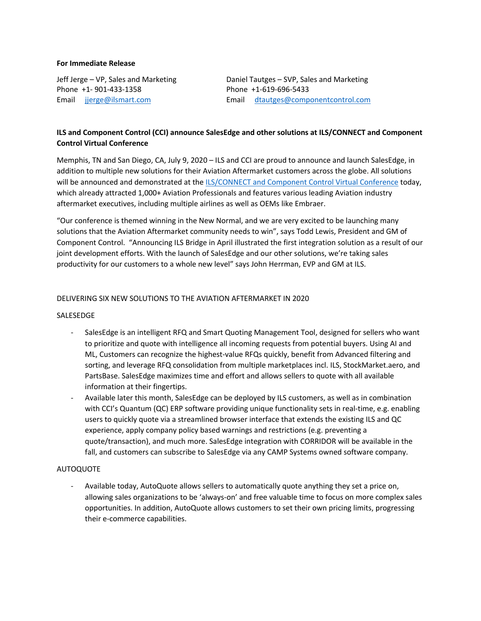#### **For Immediate Release**

Phone +1- 901-433-1358 Phone +1-619-696-5433

Jeff Jerge – VP, Sales and Marketing Daniel Tautges – SVP, Sales and Marketing Email jjerge@ilsmart.com Email dtautges@componentcontrol.com

# **ILS and Component Control (CCI) announce SalesEdge and other solutions at ILS/CONNECT and Component Control Virtual Conference**

Memphis, TN and San Diego, CA, July 9, 2020 – ILS and CCI are proud to announce and launch SalesEdge, in addition to multiple new solutions for their Aviation Aftermarket customers across the globe. All solutions will be announced and demonstrated at the ILS/CONNECT and Component Control Virtual Conference today, which already attracted 1,000+ Aviation Professionals and features various leading Aviation industry aftermarket executives, including multiple airlines as well as OEMs like Embraer.

"Our conference is themed winning in the New Normal, and we are very excited to be launching many solutions that the Aviation Aftermarket community needs to win", says Todd Lewis, President and GM of Component Control. "Announcing ILS Bridge in April illustrated the first integration solution as a result of our joint development efforts. With the launch of SalesEdge and our other solutions, we're taking sales productivity for our customers to a whole new level" says John Herrman, EVP and GM at ILS.

## DELIVERING SIX NEW SOLUTIONS TO THE AVIATION AFTERMARKET IN 2020

### SALESEDGE

- SalesEdge is an intelligent RFQ and Smart Quoting Management Tool, designed for sellers who want to prioritize and quote with intelligence all incoming requests from potential buyers. Using AI and ML, Customers can recognize the highest-value RFQs quickly, benefit from Advanced filtering and sorting, and leverage RFQ consolidation from multiple marketplaces incl. ILS, StockMarket.aero, and PartsBase. SalesEdge maximizes time and effort and allows sellers to quote with all available information at their fingertips.
- Available later this month, SalesEdge can be deployed by ILS customers, as well as in combination with CCI's Quantum (QC) ERP software providing unique functionality sets in real-time, e.g. enabling users to quickly quote via a streamlined browser interface that extends the existing ILS and QC experience, apply company policy based warnings and restrictions (e.g. preventing a quote/transaction), and much more. SalesEdge integration with CORRIDOR will be available in the fall, and customers can subscribe to SalesEdge via any CAMP Systems owned software company.

#### AUTOQUOTE

Available today, AutoQuote allows sellers to automatically quote anything they set a price on, allowing sales organizations to be 'always-on' and free valuable time to focus on more complex sales opportunities. In addition, AutoQuote allows customers to set their own pricing limits, progressing their e-commerce capabilities.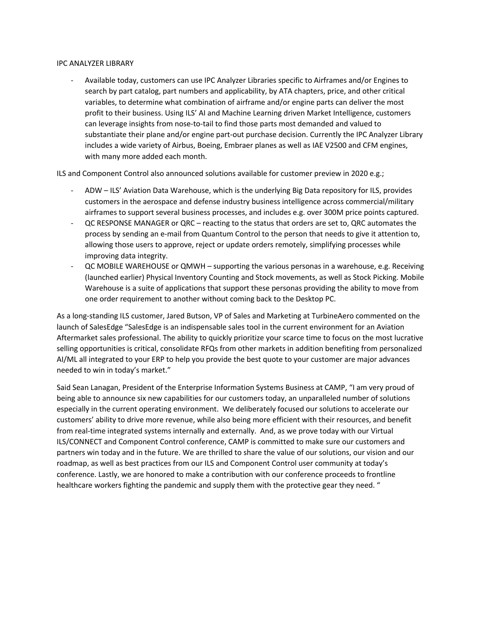#### IPC ANALYZER LIBRARY

- Available today, customers can use IPC Analyzer Libraries specific to Airframes and/or Engines to search by part catalog, part numbers and applicability, by ATA chapters, price, and other critical variables, to determine what combination of airframe and/or engine parts can deliver the most profit to their business. Using ILS' AI and Machine Learning driven Market Intelligence, customers can leverage insights from nose-to-tail to find those parts most demanded and valued to substantiate their plane and/or engine part-out purchase decision. Currently the IPC Analyzer Library includes a wide variety of Airbus, Boeing, Embraer planes as well as IAE V2500 and CFM engines, with many more added each month.

ILS and Component Control also announced solutions available for customer preview in 2020 e.g.;

- ADW ILS' Aviation Data Warehouse, which is the underlying Big Data repository for ILS, provides customers in the aerospace and defense industry business intelligence across commercial/military airframes to support several business processes, and includes e.g. over 300M price points captured.
- QC RESPONSE MANAGER or QRC reacting to the status that orders are set to, QRC automates the process by sending an e-mail from Quantum Control to the person that needs to give it attention to, allowing those users to approve, reject or update orders remotely, simplifying processes while improving data integrity.
- QC MOBILE WAREHOUSE or QMWH supporting the various personas in a warehouse, e.g. Receiving (launched earlier) Physical Inventory Counting and Stock movements, as well as Stock Picking. Mobile Warehouse is a suite of applications that support these personas providing the ability to move from one order requirement to another without coming back to the Desktop PC.

As a long-standing ILS customer, Jared Butson, VP of Sales and Marketing at TurbineAero commented on the launch of SalesEdge "SalesEdge is an indispensable sales tool in the current environment for an Aviation Aftermarket sales professional. The ability to quickly prioritize your scarce time to focus on the most lucrative selling opportunities is critical, consolidate RFQs from other markets in addition benefiting from personalized AI/ML all integrated to your ERP to help you provide the best quote to your customer are major advances needed to win in today's market."

Said Sean Lanagan, President of the Enterprise Information Systems Business at CAMP, "I am very proud of being able to announce six new capabilities for our customers today, an unparalleled number of solutions especially in the current operating environment. We deliberately focused our solutions to accelerate our customers' ability to drive more revenue, while also being more efficient with their resources, and benefit from real-time integrated systems internally and externally. And, as we prove today with our Virtual ILS/CONNECT and Component Control conference, CAMP is committed to make sure our customers and partners win today and in the future. We are thrilled to share the value of our solutions, our vision and our roadmap, as well as best practices from our ILS and Component Control user community at today's conference. Lastly, we are honored to make a contribution with our conference proceeds to frontline healthcare workers fighting the pandemic and supply them with the protective gear they need. "